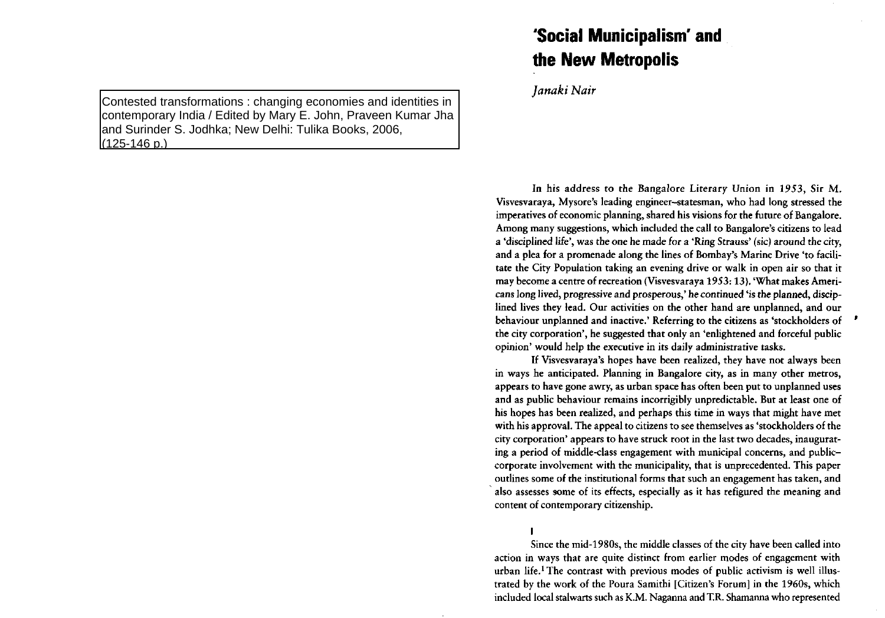# **'Social Municipalism' and the New Metropolis**

*Janaki Nair*

In his address to the Bangalore Literary Union in 1953, Sir M. Visvesvaraya, Mysore's leading engineer-statesman, who had long stressed the imperatives of economic planning, shared his visions for the future of Bangalore. Among many suggestions, which included the call to Bangalore's citizens to lead a 'disciplined life', was the one he made for a 'Ring Strauss' (sic) around the city, and a plea for a promenade along the lines of Bombay's Marine Drive 'to facilitate the City Population taking an evening drive or walk in open air so that it may become a centre of recreation (Visvesvaraya 1953:13). 'What makes Americans long lived, progressive and prosperous,' he continued 'is the planned, disciplined lives they lead. Our activities on the other hand are unplanned, and our behaviour unplanned and inactive.' Referring to the citizens as 'stockholders of the city corporation', he suggested that only an 'enlightened and forceful public opinion' would help the executive in its daily administrative tasks.

If Visvesvaraya's hopes have been realized, they have not always been in ways he anticipated. Planning in Bangalore city, as in many other metros, appears to have gone awry, as urban space has often been put to unplanned uses and as public behaviour remains incorrigibly unpredictable. But at least one of his hopes has been realized, and perhaps this time in ways that might have met with his approval. The appeal to citizens to see themselves as 'stockholders of the city corporation' appears to have struck root in the last two decades, inaugurating a period of middle-class engagement with municipal concerns, and publiccorporate involvement with the municipality, that is unprecedented. This paper outlines some of the institutional forms that such an engagement has taken, and also assesses some of its effects, especially as it has refigured the meaning and content of contemporary citizenship.

## I

Since the mid-1980s, the middle classes of the city have been called into action in ways that are quite distinct from earlier modes of engagement with urban life.<sup>1</sup> The contrast with previous modes of public activism is well illustrated by the work of the Poura Samithi [Citizen's Forum] in the 1960s, which included local stalwarts such as K.M. Naganna and T.R. Shamanna who represented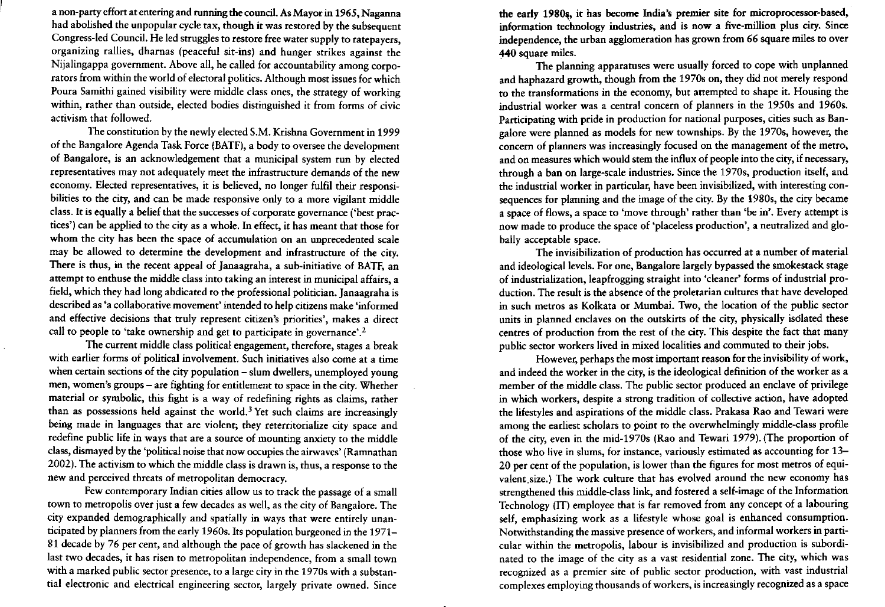a non-party effort at entering and running the council. As Mayor in 1965, Naganna had abolished the unpopular cycle tax, though it was restored by the subsequent Congress-led Council. He led struggles to restore free water supply to ratepayers, organizing rallies, dharnas (peaceful sit-ins) and hunger strikes against the Nijalingappa government. Above all, he called for accountability among corporators from within the world of electoral politics. Although most issues for which Poura Samithi gained visibility were middle class ones, the strategy of working within, rather than outside, elected bodies distinguished it from forms of civic activism that followed.

The constitution by the newly elected S.M. Krishna Government in 1999 of the Bangalore Agenda Task Force (BATF), a body to oversee the development of Bangalore, is an acknowledgement that a municipal system run by elected representatives may not adequately meet the infrastructure demands of the new economy. Elected representatives, it is believed, no longer fulfil their responsibilities to the city, and can be made responsive only to a more vigilant middle class. It is equally a belief that the successes of corporate governance ('best practices') can be applied to the city as a whole. In effect, it has meant that those for whom the city has been the space of accumulation on an unprecedented scale may be allowed to determine the development and infrastructure of the city. There is thus, in the recent appeal of Janaagraha, a sub-initiative of BATF, an attempt to enthuse the middle class into taking an interest in municipal affairs, a field, which they had long abdicated to the professional politician. Janaagraha is described as 'a collaborative movement' intended to help citizens make 'informed and effective decisions that truly represent citizen's priorities', makes a direct call to people to 'take ownership and get to participate in governance'.<sup>2</sup>

The current middle class political engagement, therefore, stages a break with earlier forms of political involvement. Such initiatives also come at a time when certain sections of the city population - slum dwellers, unemployed young men, women's groups – are fighting for entitlement to space in the city. Whether material or symbolic, this fight is a way of redefining rights as claims, rather than as possessions held against the world.<sup>3</sup> Yet such claims are increasingly being made in languages that are violent; they reterritorialize city space and redefine public life in ways that are a source of mounting anxiety to the middle class, dismayed by the 'political noise that now occupies the airwaves' (Ramnathan 2002). The activism to which the middle class is drawn is, thus, a response to the new and perceived threats of metropolitan democracy.

Few contemporary Indian cities allow us to track the passage of a small town to metropolis over just a few decades as well, as the city of Bangalore. The city expanded demographically and spatially in ways that were entirely unanticipated by planners from the early 1960s. Its population burgeoned in the 1971- 81 decade by 76 per cent, and although the pace of growth has slackened in the last two decades, it has risen to metropolitan independence, from a small town with a marked public sector presence, to a large city in the 1970s with a substantial electronic and electrical engineering sector, largely private owned. Since

**the early 1980s, it has become India's premier** site **for microprocessor-based, information technology** industries, and is now a five-million plus city. Since independence, the urban agglomeration has grown from 66 square miles to over **440** square miles.

The planning apparatuses were usually forced to cope with unplanned and haphazard growth, though from the 1970s on, they did not merely respond to the transformations in the economy, but attempted to shape it. Housing the industrial worker was a central concern of planners in the 1950s and 1960s. Participating with pride in production for national purposes, cities such as Bangalore were planned as models for new townships. By the 1970s, however, the concern of planners was increasingly focused on the management of the metro, and on measures which would stem the influx of people into the city, if necessary, through a ban on large-scale industries. Since the 1970s, production itself, and the industrial worker in particular, have been invisibilized, with interesting consequences for planning and the image of the city. By the 1980s, the city became a space of flows, a space to 'move through' rather than 'be in'. Every attempt is now made to produce the space of 'placeless production', a neutralized and globally acceptable space.

The invisibilization of production has occurred at a number of material and ideological levels. For one, Bangalore largely bypassed the smokestack stage of industrialization, leapfrogging straight into 'cleaner' forms of industrial production. The result is the absence of the proletarian cultures that have developed in such metros as Kolkata or Mumbai. Two, the location of the public sector units in planned enclaves on the outskirts of the city, physically isdlated these centres of production from the rest of the city. This despite the fact that many public sector workers lived in mixed localities and commuted to their jobs.

However, perhaps the most important reason for the invisibility of work, and indeed the worker in the city, is the ideological definition of the worker as a member of the middle class. The public sector produced an enclave of privilege in which workers, despite a strong tradition of collective action, have adopted the lifestyles and aspirations of the middle class. Prakasa Rao and Tewari were among the earliest scholars to point to the overwhelmingly middle-class profile of the city, even in the mid-1970s (Rao and Tewari 1979). (The proportion of those who live in slums, for instance, variously estimated as accounting for 13- 20 per cent of the population, is lower than the figures for most metros of equivalent size.) The work culture that has evolved around the new economy has strengthened this middle-class link, and fostered a self-image of the Information Technology (IT) employee that is far removed from any concept of a labouring self, emphasizing work as a lifestyle whose goal is enhanced consumption. Notwithstanding the massive presence of workers, and informal workers in particular within the metropolis, labour is invisibilized and production is subordinated to the image of the city as a vast residential zone. The city, which was recognized as a premier site of public sector production, with vast industrial complexes employing thousands of workers, is increasingly recognized as a space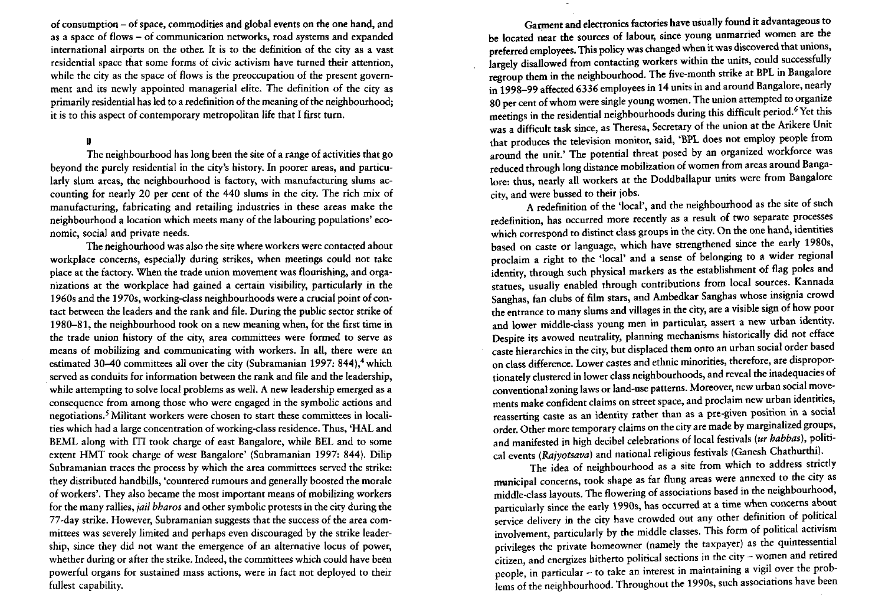of consumption - of space, commodities and global events on the one hand, and as a space of flows - of communication networks, road systems and expanded international airports on the other. It is to the definition of the city as a vast residential space that some forms of civic activism have turned their attention, while the city as the space of flows is the preoccupation of the present government and its newly appointed managerial elite. The definition of the city as primarily residential has led to a redefinition of the meaning of the neighbourhood; it is to this aspect of contemporary metropolitan life that I first turn.

# II

The neighbourhood has long been the site of a range of activities that go beyond the purely residential in the city's history. In poorer areas, and particularly slum areas, the neighbourhood is factory, with manufacturing slums accounting for nearly 20 per cent of the 440 slums in the city. The rich mix of manufacturing, fabricating and retailing industries in these areas make the neighbourhood a location which meets many of the labouring populations' economic, social and private needs.

The neighourhood was also the site where workers were contacted about workplace concerns, especially during strikes, when meetings could not take place at the factory. When the trade union movement was flourishing, and organizations at the workplace had gained a certain visibility, particularly in the 1960s and the 1970s, working-class neighbourhoods were a crucial point of contact between the leaders and the rank and file. During the public sector strike of 1980-81, the neighbourhood took on a new meaning when, for the first time in the trade union history of the city, area committees were formed to serve as means of mobilizing and communicating with workers. In all, there were an estimated 30-40 committees all over the city (Subramanian 1997: 844),<sup>4</sup> which served as conduits for information between the rank and file and the leadership, while attempting to solve local problems as well. A new leadership emerged as a consequence from among those who were engaged in the symbolic actions and negotiations.<sup>5</sup> Militant workers were chosen to start these committees in localities which had a large concentration of working-class residence. Thus, 'HAL and BEML along with ITI took charge of east Bangalore, while BEL and to some extent HMT took charge of west Bangalore' (Subramanian 1997: 844). Dilip Subramanian traces the process by which the area committees served the strike: they distributed handbills, 'countered rumours and generally boosted the morale of workers'. They also became the most important means of mobilizing workers for the many rallies, *jail bharos* and other symbolic protests in the city during the 77-day strike. However, Subramanian suggests that the success of the area committees was severely limited and perhaps even discouraged by the strike leadership, since they did not want the emergence of an alternative locus of power, whether during or after the strike. Indeed, the committees which could have been powerful organs for sustained mass actions, were in fact not deployed to their fullest capability.

**Garment and electronics** factories have usually **found** it advantageous to be located near the sources of labour, since young unmarried women are the preferred employees. This policy was changed when it was discovered that unions, largely disallowed from contacting workers within the units, could successfully regroup them in the neighbourhood. The five-month strike at BPL in Bangalore in 1998-99 affected 6336 employees in 14 units in and around Bangalore, nearly 80 per cent of whom were single young women. The union attempted to organize meetings in the residential neighbourhoods during this difficult period.<sup>6</sup> Yet this was a difficult task since, as Theresa, Secretary of the union at the Arikere Unit that produces the television monitor, said, 'BPL does not employ people from around the unit.' The potential threat posed by an organized workforce was reduced through long distance mobilization of women from areas around Bangalore: thus, nearly all workers at the Doddballapur units were from Bangalore city, and were bussed to their jobs.

A redefinition of the 'local', and the neighbourhood as the site of such redefinition, has occurred more recently as a result of two separate processes which correspond to distinct class groups in the city. On the one hand, identities based on caste or language, which have strengthened since the early 1980s, proclaim a right to the 'local' and a sense of belonging to a wider regional identity, through such physical markers as the establishment of flag poles and statues, usually enabled through contributions from local sources. Kannada Sanghas, fan clubs of film stars, and Ambedkar Sanghas whose insignia crowd the entrance to many slums and villages in the city, are a visible sign of how poor and lower middle-class young men in particular, assert a new urban identity. Despite its avowed neutrality, planning mechanisms historically did not efface caste hierarchies in the city, but displaced them onto an urban social order based on class difference. Lower castes and ethnic minorities, therefore, are disproportionately clustered in lower class neighbourhoods, and reveal the inadequacies of conventional zoning laws or land-use patterns. Moreover, new urban social movements make confident claims on street space, and proclaim new urban identities, reasserting caste as an identity rather than as a pre-given position in a social order. Other more temporary claims on the city are made by marginalized groups, and manifested in high decibel celebrations of local festivals *(ur habbas),* political events *(Rajyotsava)* and national religious festivals (Ganesh Chathurthi).

The idea of neighbourhood as a site from which to address strictly municipal concerns, took shape as far flung areas were annexed to the city as middle-class layouts. The flowering of associations based in the neighbourhood, particularly since the early 1990s, has occurred at a time when concerns about service delivery in the city have crowded out any other definition of political involvement, particularly by the middle classes. This form of political activism privileges the private homeowner (namely the taxpayer) as the quintessential citizen, and energizes hitherto political sections in the city - women and retired people, in particular - to take an interest in maintaining a vigil over the problems of the neighbourhood. Throughout the 1990s, such associations have been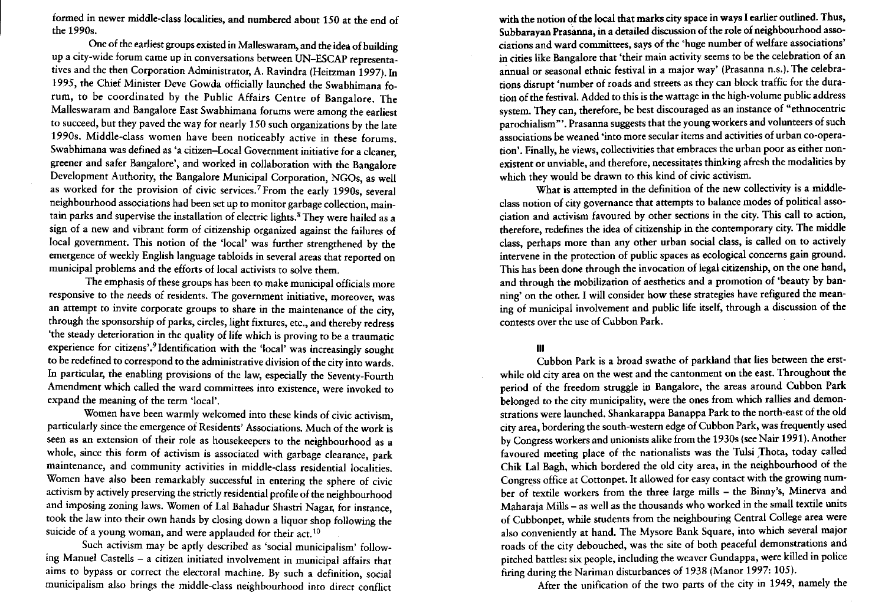formed in newer middle-class localities, and numbered about 150 at the end of the 1990s.

One of the earliest groups existed in Malleswaram, and the idea of building up a city-wide forum came up in conversations between UN-ESCAP representatives and the then Corporation Administrator, A. Ravindra (Heitzman 1997). In 1995, the Chief Minister Deve Gowda officially launched the Swabhimana forum, to be coordinated by the Public Affairs Centre of Bangalore. The Malleswaram and Bangalore East Swabhimana forums were among the earliest to succeed, but they paved the way for nearly 150 such organizations by the late 1990s. Middle-class women have been noticeably active in these forums. Swabhimana was defined as 'a citizen-Local Government initiative for a cleaner, greener and safer Bangalore', and worked in collaboration with the Bangalore Development Authority, the Bangalore Municipal Corporation, NGOs, as well as worked for the provision of civic services.<sup>7</sup> From the early 1990s, several neighbourhood associations had been set up to monitor garbage collection, maintain parks and supervise the installation of electric lights.<sup>8</sup> They were hailed as a sign of a new and vibrant form of citizenship organized against the failures of local government. This notion of the 'local' was further strengthened by the emergence of weekly English language tabloids in several areas that reported on municipal problems and the efforts of local activists to solve them.

The emphasis of these groups has been to make municipal officials more responsive to the needs of residents. The government initiative, moreover, was an attempt to invite corporate groups to share in the maintenance of the city, through the sponsorship of parks, circles, light fixtures, etc., and thereby redress 'the steady deterioration in the quality of life which is proving to be a traumatic experience for citizens'.<sup>9</sup> Identification with the 'local' was increasingly sought to be redefined to correspond to the administrative division of the city into wards. In particular, the enabling provisions of the law, especially the Seventy-Fourth Amendment which called the ward committees into existence, were invoked to expand the meaning of the term 'local'.

Women have been warmly welcomed into these kinds of civic activism, particularly since the emergence of Residents' Associations. Much of the work is seen as an extension of their role as housekeepers to the neighbourhood as a whole, since this form of activism is associated with garbage clearance, park maintenance, and community activities in middle-class residential localities. Women have also been remarkably successful in entering the sphere of civic activism by actively preserving the strictly residential profile of the neighbourhood and imposing zoning laws. Women of Lai Bahadur Shastri Nagar, for instance, took the law into their own hands by closing down a liquor shop following the suicide of a young woman, and were applauded for their act.<sup>10</sup>

Such activism may be aptly described as 'social municipalism' following Manuel Castells - a citizen initiated involvement in municipal affairs that aims to bypass or correct the electoral machine. By such a definition, social municipalism also brings the middle-class neighbourhood into direct conflict with the notion of the local that marks city space in ways I earlier outlined. Thus, Subbarayan Prasanna, in a detailed discussion of the role of neighbourhood associations and ward committees, says of the 'huge number of welfare associations' in cities like Bangalore that 'their main activity seems to be the celebration of an annual or seasonal ethnic festival in a major way' (Prasanna n.s.).The celebrations disrupt 'number of roads and streets as they can block traffic for the duration of the festival. Added to this is the wattage in the high-volume public address system. They can, therefore, be best discouraged as an instance of "ethnocentric parochialism"'. Prasanna suggests that the young workers and volunteers of such associations be weaned 'into more secular items and activities of urban co-operation'. Finally, he views, collectivities that embraces the urban poor as either nonexistent or unviable, and therefore, necessitates thinking afresh the modalities by which they would be drawn to this kind of civic activism.

What is attempted in the definition of the new collectivity is a middleclass notion of city governance that attempts to balance modes of political association and activism favoured by other sections in the city. This call to action, therefore, redefines the idea of citizenship in the contemporary city. The middle class, perhaps more than any other urban social class, is called on to actively intervene in the protection of public spaces as ecological concerns gain ground. This has been done through the invocation of legal citizenship, on the one hand, and through the mobilization of aesthetics and a promotion of 'beauty by banning' on the other. I will consider how these strategies have refigured the meaning of municipal involvement and public life itself, through a discussion of the contests over the use of Cubbon Park.

## Ill

Cubbon Park is a broad swathe of parkland that lies between the erstwhile old city area on the west and the cantonment on the east. Throughout the period of the freedom struggle in Bangalore, the areas around Cubbon Park belonged to the city municipality, were the ones from which rallies and demonstrations were launched. Shankarappa Banappa Park to the north-east of the old city area, bordering the south-western edge of Cubbon Park, was frequently used by Congress workers and unionists alike from the 1930s (see Nair 1991). Another favoured meeting place of the nationalists was the Tulsi Thota, today called Chik Lai Bagh, which bordered the old city area, in the neighbourhood of the Congress office at Cottonpet. It allowed for easy contact with the growing number of textile workers from the three large mills - the Binny's, Minerva and Maharaja Mills - as well as the thousands who worked in the small textile units of Cubbonpet, while students from the neighbouring Central College area were also conveniently at hand. The Mysore Bank Square, into which several major roads of the city debouched, was the site of both peaceful demonstrations and pitched battles: six people, including the weaver Gundappa, were killed in police firing during the Nariman disturbances of 1938 (Manor 1997: 105).

After the unification of the two parts of the city in 1949, namely the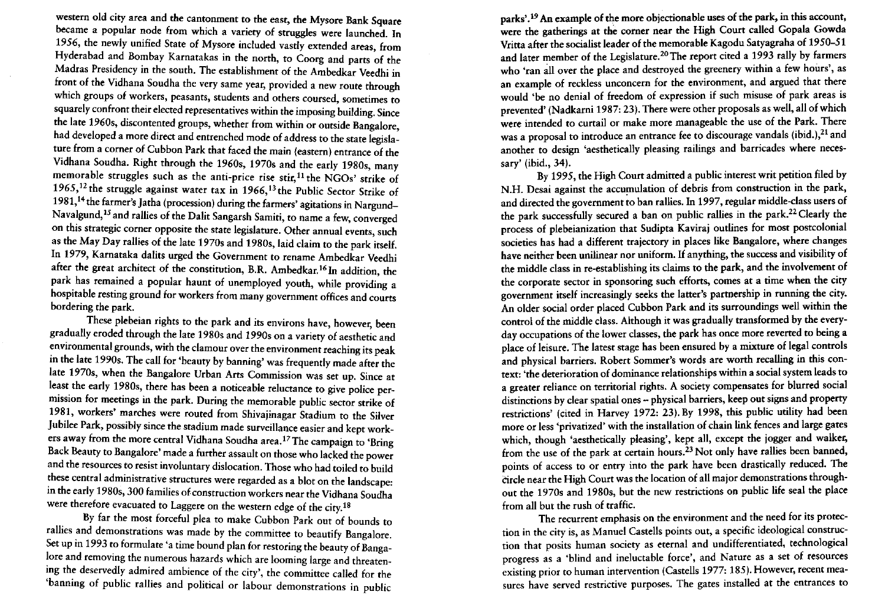western old city area and the cantonment to the east, the Mysore Bank Square became a popular node from which a variety of struggles were launched. In 1956, the newly unified State of Mysore included vastly extended areas, from Hyderabad and Bombay Karnatakas in the north, to Coorg and parts of the Madras Presidency in the south. The establishment of the Ambedkar Veedhi in front of the Vidhana Soudha the very same year, provided a new route through which groups of workers, peasants, students and others coursed, sometimes to squarely confront their elected representatives within the imposing building. Since the late 1960s, discontented groups, whether from within or outside Bangalore, had developed a more direct and entrenched mode of address to the state legislature from a corner of Cubbon Park that faced the main (eastern) entrance of the Vidhana Soudha. Right through the 1960s, 1970s and the early 1980s, many memorable struggles such as the anti-price rise stir,  $^{11}$  the NGOs' strike of  $1965$ ,<sup>12</sup> the struggle against water tax in  $1966$ ,<sup>13</sup> the Public Sector Strike of 1981,<sup>14</sup> the farmer's Jatha (procession) during the farmers' agitations in Nargund-Navalgund,<sup>15</sup> and rallies of the Dalit Sangarsh Samiti, to name a few, converged on this strategic corner opposite the state legislature. Other annual events, such as the May Day rallies of the late 1970s and 1980s, laid claim to the park itself. In 1979, Karnataka dalits urged the Government to rename Ambedkar Veedhi after the great architect of the constitution, B.R. Ambedkar.<sup>16</sup> In addition, the park has remained a popular haunt of unemployed youth, while providing a hospitable resting ground for workers from many government offices and courts bordering the park.

These plebeian rights to the park and its environs have, however, been gradually eroded through the late 1980s and 1990s on a variety of aesthetic and environmental grounds, with the clamour over the environment reaching its peak in the late 1990s. The call for 'beauty by banning' was frequently made after the late 1970s, when the Bangalore Urban Arts Commission was set up. Since at least the early 1980s, there has been a noticeable reluctance to give police permission for meetings in the park. During the memorable public sector strike of 1981, workers' marches were routed from Shivajinagar Stadium to the Silver Jubilee Park, possibly since the stadium made surveillance easier and kept workers away from the more central Vidhana Soudha area.<sup>17</sup> The campaign to 'Bring Back Beauty to Bangalore' made a further assault on those who lacked the power and the resources to resist involuntary dislocation. Those who had toiled to build these central administrative structures were regarded as a blot on the landscape: in the early 1980s, 300 families of construction workers near the Vidhana Soudha were therefore evacuated to Laggere on the western edge of the city.<sup>18</sup>

By far the most forceful plea to make Cubbon Park out of bounds to rallies and demonstrations was made by the committee to beautify Bangalore. Set up in 1993 to formulate 'a time bound plan for restoring the beauty of Bangalore and removing the numerous hazards which are looming large and threatening the deservedly admired ambience of the city', the committee called for the 'banning of public rallies and political or labour demonstrations in public

parks'.<sup>19</sup> An example of the more objectionable uses of the park, in this account, were the gatherings at the corner near the High Court called Gopala Gowda Vritta after the socialist leader of the memorable Kagodu Satyagraha of 1950-51 and later member of the Legislature.<sup>20</sup> The report cited a 1993 rally by farmers who 'ran all over the place and destroyed the greenery within a few hours', as an example of reckless unconcern for the environment, and argued that there would 'be no denial of freedom of expression if such misuse of park areas is prevented' (Nadkarni 1987:23). There were other proposals as well, all of which were intended to curtail or make more manageable the use of the Park. There was a proposal to introduce an entrance fee to discourage vandals (ibid.), $^{21}$  and another to design 'aesthetically pleasing railings and barricades where necessary' (ibid., 34).

By 1995, the High Court admitted a public interest writ petition filed by N.H. Desai against the accumulation of debris from construction in the park, and directed the government to ban rallies. In 1997, regular middle-class users of the park successfully secured a ban on public rallies in the park.<sup>22</sup> Clearly the process of plebeianization that Sudipta Kaviraj outlines for most postcolonial societies has had a different trajectory in places like Bangalore, where changes have neither been unilinear nor uniform. If anything, the success and visibility of the middle class in re-establishing its claims to the park, and the involvement of the corporate sector in sponsoring such efforts, comes at a time when the city government itself increasingly seeks the latter's partnership in running the city. An older social order placed Cubbon Park and its surroundings well within the control of the middle class. Although it was gradually transformed by the everyday occupations of the lower classes, the park has once more reverted to being a place of leisure. The latest stage has been ensured by a mixture of legal controls and physical barriers. Robert Sommer's words are worth recalling in this context: 'the deterioration of dominance relationships within a social system leads to a greater reliance on territorial rights. A society compensates for blurred social distinctions by clear spatial ones -- physical barriers, keep out signs and property restrictions' (cited in Harvey 1972: 23). By 1998, this public utility had been more or less 'privatized' with the installation of chain link fences and large gates which, though 'aesthetically pleasing', kept all, except the jogger and walker,  $\frac{1}{2}$  from the use of the park at certain hours.<sup>23</sup> Not only have rallies been banned, points of access to or entry into the park have been drastically reduced. The circle near the High Court was the location of all major demonstrations throughout the 1970s and 1980s, but the new restrictions on public life seal the place from all but the rush of traffic.

The recurrent emphasis on the environment and the need for its protection in the city is, as Manuel Castells points out, a specific ideological construction that posits human society as eternal and undifferentiated, technological progress as a 'blind and ineluctable force', and Nature as a set of resources existing prior to human intervention (Castells 1977:185). However, recent measures have served restrictive purposes. The gates installed at the entrances to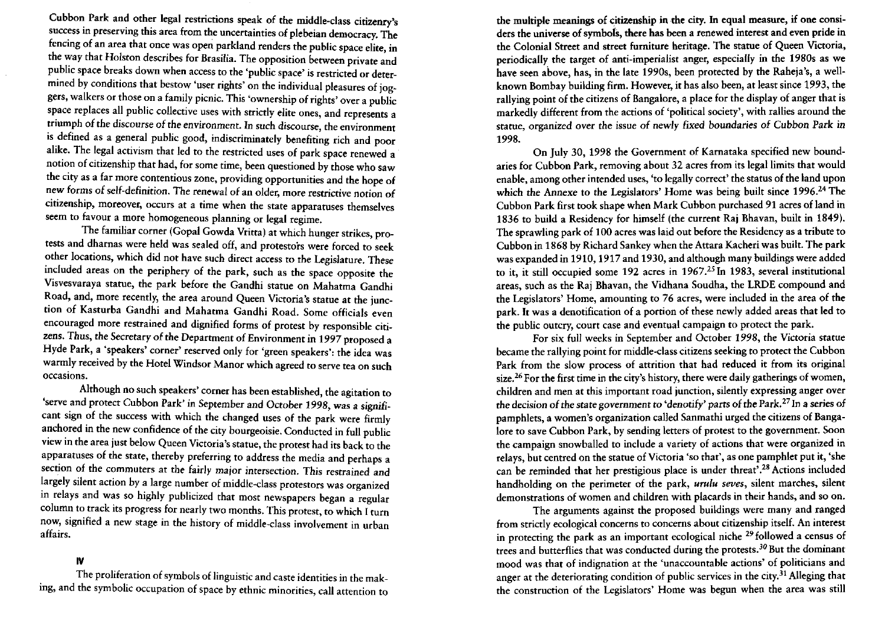Cubbon Park and other legal restrictions speak of the middle-class citizenry's success in preserving this area from the uncertainties of plebeian democracy. The fencing of an area that once was open parkland renders the public space elite, in the way that Holston describes for Brasilia. The opposition between private and public space breaks down when access to the 'public space' is restricted or determined by conditions that bestow 'user rights' on the individual pleasures of joggers, walkers or those on a family picnic. This 'ownership of rights' over a public space replaces all public collective uses with strictly elite ones, and represents a triumph of the discourse of the environment. In such discourse, the environment is defined as a general public good, indiscriminately benefiting rich and poor alike. The legal activism that led to the restricted uses of park space renewed a notion of citizenship that had, for some time, been questioned by those who saw the city as a far more contentious zone, providing opportunities and the hope of new forms *oi* self-definition. The renewal of an older, more restrictive notion of citizenship, moreover, occurs at a time when the state apparatuses themselves seem to favour a more homogeneous planning or legal regime.

The familiar corner (Gopal Gowda Vritta) at which hunger strikes, protests and dharnas were held was sealed off, and protestors were forced to seek other locations, which did not have such direct access to the Legislature. These included areas on the periphery of the park, such as the space opposite the Visvesvaraya statue, the park before the Gandhi statue on Mahatma Gandhi Road, and, more recently, the area around Queen Victoria's statue at the junction of Kasturba Gandhi and Mahatma Gandhi Road. Some officials even encouraged more restrained and dignified forms of protest by responsible citizens. Thus, the Secretary of the Department of Environment in 1997 proposed a Hyde Park, a 'speakers' corner' reserved only for 'green speakers': the idea was warmly received by the Hotel Windsor Manor which agreed to serve tea on such occasions.

Although no such speakers' corner has been established, the agitation to 'serve and protect Cubbon Park' in September and October 1998, was a significant sign of the success with which the changed uses of the park were firmly anchored in the new confidence of the city bourgeoisie. Conducted in full public view in the area just below Queen Victoria's statue, the protest had its back to the apparatuses of the state, thereby preferring to address the media and perhaps a section of the commuters at the fairly major intersection. This restrained and largely silent action by a large number of middle-class protestors was organized in relays and was so highly publicized that most newspapers began a regular column to track its progress for nearly two months. This protest, to which I turn now, signified a new stage in the history of middle-class involvement in urban affairs.

## IV

The proliferation of symbols of linguistic and caste identities in the making, and the symbolic occupation of space by ethnic minorities, call attention to

**the multiple meanings** of **citizenship** in **the** city. **In equal** measure, if one considers **the** universe of symbols, **there** has been a renewed interest and even pride in the Colonial Street and street furniture heritage. The statue of Queen Victoria, periodically the target of anti-imperialist anger, especially in the 1980s as we have seen above, has, in the late 1990s, been protected by the Raheja's, a wellknown Bombay building firm. However, it has also been, at least since 1993, the rallying point of the citizens of Bangalore, a place for the display of anger that is markedly different from the actions of 'political society', with rallies around the statue, organized over the issue *oi* newly fixed boundaries *oi* Cubbon Park in 1998.

On July 30, 1998 the Government of Karnataka specified new boundaries for Cubbon Park, removing about 32 acres from its legal limits that would enable, among other intended uses, 'to legally correct' the status of the land upon which the Annexe to the Legislators' Home was being built since 1996.<sup>24</sup> The Cubbon Park first took shape when Mark Cubbon purchased 91 acres of land in 1836 to build a Residency for himself (the current Raj Bhavan, built in 1849). The sprawling park of 100 acres was laid out before the Residency as a tribute to Cubbon in 1868 by Richard Sankey when the Attara Kacheri was built. The park was expanded in 1910,1917 and 1930, and although many buildings were added to it, it still occupied some 192 acres in 1967.<sup>25</sup> In 1983, several institutional areas, such as the Raj Bhavan, the Vidhana Soudha, the LRDE compound and the Legislators' Home, amounting to 76 acres, were included in the area of the park. It was a denotification of a portion of these newly added areas that led to the public outcry, court case and eventual campaign to protect the park.

For six full weeks in September and October *1998,* the Victoria statue became the rallying point for middle-class citizens seeking to protect the Cubbon Park from the slow process of attrition that had reduced it from its original size.<sup>26</sup> For the first time in the city's history, there were daily gatherings of women, children and men at this important road junction, silently expressing anger over the decision of the state government *to 'denotiiy' parts oi* the Park.<sup>27</sup> In a series of pamphlets, a women's organization called Sanmathi urged the citizens of Bangalore to save Cubbon Park, by sending letters of protest to the government. Soon the campaign snowballed to include a variety of actions that were organized in relays, but centred on the statue of Victoria 'so that', as one pamphlet put it, 'she can be reminded that her prestigious place is under threat<sup>2</sup>.<sup>28</sup> Actions included handholding on the perimeter of the park, *urulu seves,* silent marches, silent demonstrations of women and children with placards in their hands, and so on.

The arguments against the proposed buildings were many and ranged from strictly ecological concerns to concerns about citizenship itself. An interest in protecting the park as an important ecological niche  $^{29}$  followed a census of trees and butterflies that was conducted during the protests.<sup>30</sup> But the dominant mood was that of indignation at the 'unaccountable actions' of politicians and anger at the deteriorating condition of public services in the city.<sup>31</sup> Alleging that the construction of the Legislators' Home was begun when the area was still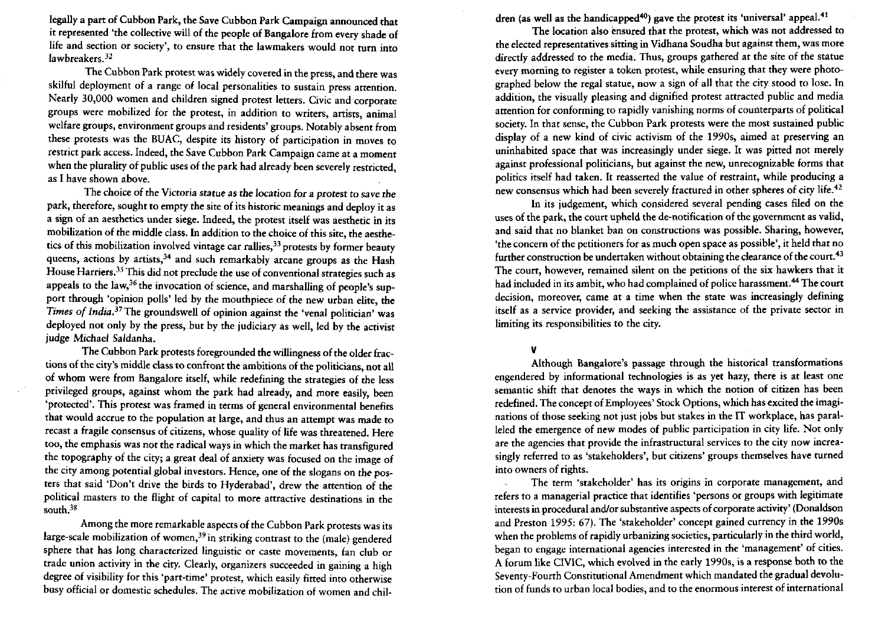legally a part of Cubbon Park, the Save Cubbon Park Campaign announced **that** it represented 'the collective will of the people of Bangalore from every shade of life and section or society', to ensure that the lawmakers would not turn into lawbreakers.<sup>32</sup>

The Cubbon Park protest was widely covered in the press, and there was skilful deployment of a range of local personalities to sustain press attention. Nearly 30,000 women and children signed protest letters. Civic and corporate groups were mobilized for the protest, in addition to writers, artists, animal welfare groups, environment groups and residents' groups. Notably absent from these protests was the BUAC, despite its history of participation in moves to restrict park access. Indeed, the Save Cubbon Park Campaign came at a moment when the plurality of public uses of the park had already been severely restricted, as I have shown above.

The choice of the Victoria statue as the location for a protest to save the park, therefore, sought to empty the site of its historic meanings and deploy it as a sign of an aesthetics under siege. Indeed, the protest itself was aesthetic in its mobilization of the middle class. In addition to the choice of this site, the aesthetics of this mobilization involved vintage car rallies,<sup>33</sup> protests by former beauty queens, actions by artists,<sup>34</sup> and such remarkably arcane groups as the Hash House Harriers.<sup>35</sup> This did not preclude the use of conventional strategies such as appeals to the law,  $36$  the invocation of science, and marshalling of people's support through 'opinion polls' led by the mouthpiece of the new urban elite, the *Times of India.<sup>37</sup>* The groundswell of opinion against the 'venal politician' was deployed not only by the press, but by the judiciary as well, led by the activist judge Michael Saldanha.

The Cubbon Park protests foregrounded the willingness of the older fractions of the city's middle class to confront the ambitions of the politicians, not all of whom were from Bangalore itself, while redefining the strategies of the less privileged groups, against whom the park had already, and more easily, been 'protected'. This protest was framed in terms of general environmental benefits that would accrue to the population at large, and thus an attempt was made to recast a fragile consensus of citizens, whose quality of life was threatened. Here too, the emphasis was not the radical ways in which the market has transfigured the topography of the city; a great deal of anxiety was focused on the image of the city among potential global investors. Hence, one of the slogans on the posters that said 'Don't drive the birds to Hyderabad', drew the attention of the political masters to the flight of capital to more attractive destinations in the south.<sup>38</sup>

Among the more remarkable aspects of the Cubbon Park protests was its large-scale mobilization of women,<sup>39</sup> in striking contrast to the (male) gendered sphere that has long characterized linguistic or caste movements, fan club or trade union activity in the city. Clearly, organizers succeeded in gaining a high degree of visibility for this 'part-time' protest, which easily fitted into otherwise busy official or domestic schedules. The active mobilization of women and children (as well as the handicapped<sup>40</sup>) gave the protest its 'universal' appeal.<sup>41</sup>

The location also ensured that the protest, which was not addressed to the elected representatives sitting in Vidhana Soudha but against them, was more directly addressed to the media. Thus, groups gathered at the site of the statue every morning to register a token protest, while ensuring that they were photographed below the regal statue, now a sign of all that the city stood to lose. In addition, the visually pleasing and dignified protest attracted public and media attention for conforming to rapidly vanishing norms of counterparts of political society. In that sense, the Cubbon Park protests were the most sustained public display of a new kind of civic activism of the 1990s, aimed at preserving an uninhabited space that was increasingly under siege. It was pitted not merely against professional politicians, but against the new, unrecognizable forms that politics itself had taken. It reasserted the value of restraint, while producing a new consensus which had been severely fractured in other spheres of city life.<sup>42</sup>

In its judgement, which considered several pending cases filed on the uses of the park, the court upheld the de-notification of the government as valid, and said that no blanket ban on constructions was possible. Sharing, however, 'the concern of the petitioners for as much open space as possible', it held that no further construction be undertaken without obtaining the clearance of the court.<sup>43</sup> The court, however, remained silent on the petitions of the six hawkers that it had included in its ambit, who had complained of police harassment.<sup>44</sup> The court decision, moreover, came at a time when the state was increasingly defining itself as a service provider, and seeking the assistance of the private sector in limiting its responsibilities to the city.

#### v

Although Bangalore's passage through the historical transformations engendered by informational technologies is as yet hazy, there is at least one semantic shift that denotes the ways in which the notion of citizen has been redefined. The concept of Employees' Stock Options, which has excited the imaginations of those seeking not just jobs but stakes in the IT workplace, has paralleled the emergence of new modes of public participation in city life. Not only are the agencies that provide the infrastructural services to the city now increasingly referred to as 'stakeholders', but citizens' groups themselves have turned into owners of rights.

The term 'stakeholder' has its origins in corporate management, and refers to a managerial practice that identifies 'persons or groups with legitimate interests in procedural and/or substantive aspects of corporate activity' (Donaldson and Preston 1995: 67). The 'stakeholder' concept gained currency in the 1990s when the problems of rapidly urbanizing societies, particularly in the third world, began to engage international agencies interested in the 'management' of cities. A forum like CIVIC, which evolved in the early 1990s, is a response both to the Seventy-Fourth Constitutional Amendment which mandated the gradual devolution of funds to urban local bodies, and to the enormous interest of international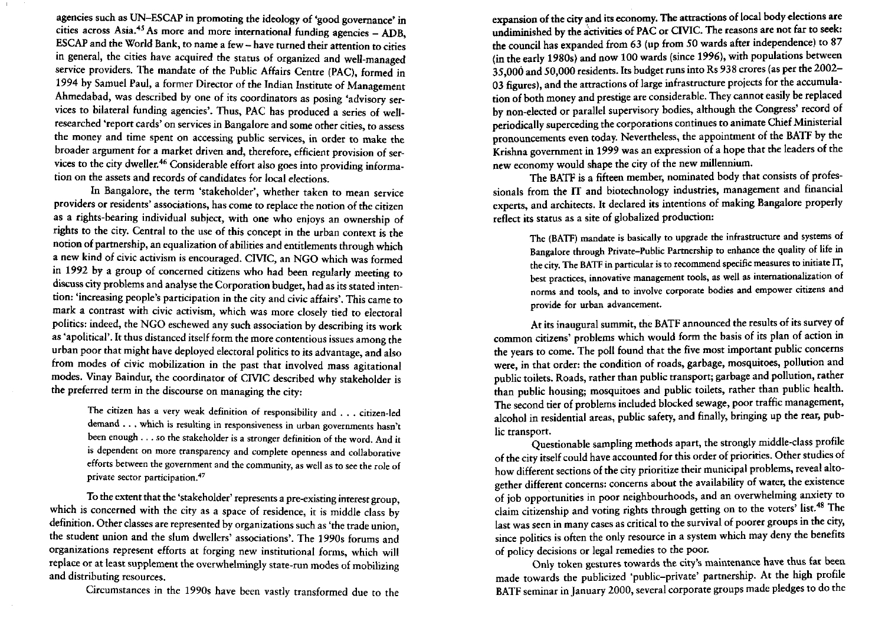agencies such as UN-ESCAP in promoting the ideology of 'good governance' in cities across Asia.<sup>45</sup> As more and more international funding agencies - ADB, ESCAP and the World Bank, to name a few - have turned their attention to cities in general, the cities have acquired the status of organized and well-managed service providers. The mandate of the Public Affairs Centre (PAC), formed in 1994 by Samuel Paul, a former Director of the Indian Institute of Management Ahmedabad, was described by one of its coordinators as posing 'advisory services to bilateral funding agencies'. Thus, PAC has produced a series of wellresearched 'report cards' on services in Bangalore and some other cities, to assess the money and time spent on accessing public services, in order to make the broader argument for a market driven and, therefore, efficient provision of services to the city dweller.<sup>46</sup> Considerable effort also goes into providing information on the assets and records of candidates for local elections.

In Bangalore, the term 'stakeholder', whether taken to mean service providers or residents' associations, has come to replace the notion of the citizen as a rights-bearing individual subject, with one who enjoys an ownership of rights to the city. Central to the use of this concept in the urban context is the notion of partnership, an equalization of abilities and entitlements through which a new kind of civic activism is encouraged. CIVIC, an NGO which was formed in 1992 by a group of concerned citizens who had been regularly meeting to discuss city problems and analyse the Corporation budget, had as its stated intention: 'increasing people's participation in the city and civic affairs'. This came to mark a contrast with civic activism, which was more closely tied to electoral politics: indeed, the NGO eschewed any such association by describing its work as 'apolitical'. It thus distanced itself form the more contentious issues among the urban poor that might have deployed electoral politics to its advantage, and also from modes of civic mobilization in the past that involved mass agitational modes. Vinay Baindur, the coordinator of CIVIC described why stakeholder is the preferred term in the discourse on managing the city:

> The citizen has a very weak definition of responsibility and . . . citizen-led demand . . . which is resulting in responsiveness in urban governments hasn't been enough .. . so the stakeholder is a stronger definition of the word. And it is dependent on more transparency and complete openness and collaborative efforts between the government and the community, as well as to see the role of private sector participation.<sup>47</sup>

To the extent that the 'stakeholder' represents a pre-existing interest group, which is concerned with the city as a space of residence, it is middle class by definition. Other classes are represented by organizations such as 'the trade union, the student union and the slum dwellers' associations'. The 1990s forums and organizations represent efforts at forging new institutional forms, which will replace or at least supplement the overwhelmingly state-run modes of mobilizing and distributing resources.

Circumstances in the 1990s have been vastly transformed due to the

expansion of the city and its economy. The attractions of local body elections are undiminished by the activities of PAC or CIVIC. The reasons are not far to seek: the council has expanded from 63 (up from 50 wards after independence) to 87 (in the early 1980s) and now 100 wards (since 1996), with populations between 35,000 and 50,000 residents. Its budget runs into Rs 938 crores (as per the 2002- 03 figures), and the attractions of large infrastructure projects for the accumulation of both money and prestige are considerable. They cannot easily be replaced by non-elected or parallel supervisory bodies, although the Congress' record of periodically superceding the corporations continues to animate Chief Ministerial pronouncements even today. Nevertheless, the appointment of the BATF by the Krishna government in 1999 was an expression of a hope that the leaders of the new economy would shape the city of the new millennium.

The BATF is a fifteen member, nominated body that consists of professionals from the IT and biotechnology industries, management and financial experts, and architects. It declared its intentions of making Bangalore properly reflect its status as a site of globalized production:

> The (BATF) mandate is basically to upgrade the infrastructure and systems of Bangalore through Private-Public Partnership to enhance the quality of life in the city. The BATF in particular is to recommend specific measures to initiate IT, best practices, innovative management tools, as well as internationalization of norms and tools, and to involve corporate bodies and empower citizens and provide for urban advancement.

At its inaugural summit, the BATF announced the results of its survey of common citizens' problems which would form the basis of its plan of action in the years to come. The poll found that the five most important public concerns were, in that order: the condition of roads, garbage, mosquitoes, pollution and public toilets. Roads, rather than public transport; garbage and pollution, rather than public housing; mosquitoes and public toilets, rather than public health. The second tier of problems included blocked sewage, poor traffic management, alcohol in residential areas, public safety, and finally, bringing up the rear, public transport.

Questionable sampling methods apart, the strongly middle-class profile of the city itself could have accounted for this order of priorities. Other studies of how different sections of the city prioritize their municipal problems, reveal altogether different concerns: concerns about the availability of water, the existence of job opportunities in poor neighbourhoods, and an overwhelming anxiety to claim citizenship and voting rights through getting on to the voters' list.<sup>48</sup> The last was seen in many cases as critical to the survival of poorer groups in the city, since politics is often the only resource in a system which may deny the benefits of policy decisions or legal remedies to the poor.

Only token gestures towards the city's maintenance have thus far been, made towards the publicized 'public-private' partnership. At the high profile BATF seminar in January 2000, several corporate groups made pledges to do the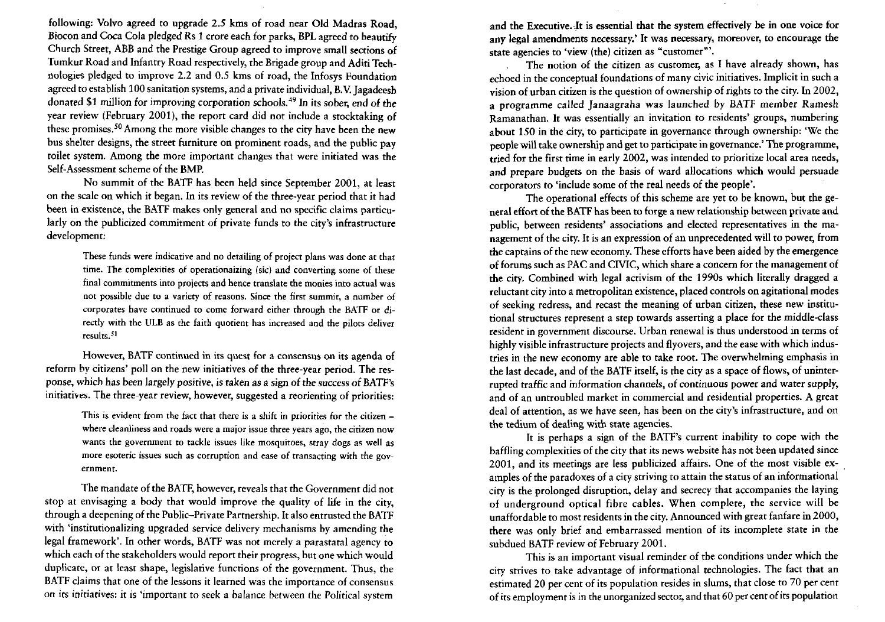following: Volvo agreed to upgrade 2.5 kms of road near Old Madras Road, Biocon and Coca Cola pledged Rs 1 crore each for parks, BPL agreed to beautify Church Street, ABB and the Prestige Group agreed to improve small sections of Tumkur Road and Infantry Road respectively, the Brigade group and Aditi Technologies pledged to improve 2.2 and 0.5 kms of road, the Infosys Foundation agreed to establish 100 sanitation systems, and a private individual, B.V. Jagadeesh donated \$1 million for improving corporation schools.<sup>49</sup> In its sober, end of the year review (February 2001), the report card did not include a stocktaking of these promises.<sup>50</sup> Among the more visible changes to the city have been the new bus shelter designs, the street furniture on prominent roads, and the public pay toilet system. Among the more important changes that were initiated was the Self-Assessment scheme of the BMP.

No summit of the BATF has been held since September 2001, at least on the scale on which it began. In its review of the three-year period that it had been in existence, the BATF makes only general and no specific claims particularly on the publicized commitment of private funds to the city's infrastructure development:

> These funds were indicative and no detailing of project plans was done at that time. The complexities of operationaizing (sic) and converting some of these final commitments into projects and hence translate the monies into actual was not possible due to a variety of reasons. Since the first summit, a number of corporates have continued to come forward either through the BATF or directly with the ULB as the faith quotient has increased and the pilots deliver results.<sup>51</sup>

However, BATF continued in its quest for a consensus on its agenda of reform by citizens' poll on the new initiatives of the three-year period. The response, which has been largely positive, is taken as a sign of the success of BATF's initiatives. The three-year review, however, suggested a reorienting of priorities:

> This is evident from the fact that there is a shift in priorities for the citizen where cleanliness and roads were a major issue three years ago, the citizen now wants the government to tackle issues like mosquitoes, stray dogs as well as more esoteric issues such as corruption and ease of transacting with the government.

The mandate of the BATF, however, reveals that the Government did not stop at envisaging a body that would improve the quality of life in the city, through a deepening of the Public-Private Partnership. It also entrusted the BATF with 'institutionalizing upgraded service delivery mechanisms by amending the legal framework'. In other words, BATF was not merely a parastatal agency to which each of the stakeholders would report their progress, but one which would duplicate, or at least shape, legislative functions of the government. Thus, the BATF claims that one of the lessons it learned was the importance of consensus on its initiatives: it is 'important to seek a balance between the Political system

and the Executive.lt is essential that the system effectively be in one voice for any legal amendments necessary.' It was necessary, moreover, to encourage the state agencies to 'view (the) citizen as "customer"'.

The notion of the citizen as customer, as I have already shown, has echoed in the conceptual foundations of many civic initiatives. Implicit in such a vision of urban citizen is the question of ownership of rights to the city. In 2002, a programme called Janaagraha was launched by BATF member Ramesh Ramanathan. It was essentially an invitation to residents' groups, numbering about 150 in the city, to participate in governance through ownership: 'We the people will take ownership and get to participate in governance.' The programme, tried for the first time in early 2002, was intended to prioritize local area needs, and prepare budgets on the basis of ward allocations which would persuade corporators to 'include some of the real needs of the people'.

The operational effects of this scheme are yet to be known, but the general effort of the BATF has been to forge a new relationship between private and public, between residents' associations and elected representatives in the management of the city. It is an expression of an unprecedented will to power, from the captains of the new economy. These efforts have been aided by the emergence of forums such as PAC and CIVIC, which share a concern for the management of the city. Combined with legal activism of the 1990s which literally dragged a reluctant city into a metropolitan existence, placed controls on agitational modes of seeking redress, and recast the meaning of urban citizen, these new institutional structures represent a step towards asserting a place for the middle-class resident in government discourse. Urban renewal is thus understood in terms of highly visible infrastructure projects and flyovers, and the ease with which industries in the new economy are able to take root. The overwhelming emphasis in the last decade, and of the BATF itself, is the city as a space of flows, of uninterrupted traffic and information channels, of continuous power and water supply, and of an untroubled market in commercial and residential properties. A great deal of attention, as we have seen, has been on the city's infrastructure, and on the tedium of dealing with state agencies.

It is perhaps a sign of the BATF's current inability to cope with the baffling complexities of the city that its news website has not been updated since 2001, and its meetings are less publicized affairs. One of the most visible examples of the paradoxes of a city striving to attain the status of an informational city is the prolonged disruption, delay and secrecy that accompanies the laying of underground optical fibre cables. When complete, the service will be unaffordable to most residents in the city. Announced with great fanfare in 2000, there was only brief and embarrassed mention of its incomplete state in the subdued BATF review of February 2001.

This is an important visual reminder of the conditions under which the city strives to take advantage of informational technologies. The fact that an estimated 20 per cent of its population resides in slums, that close to 70 per cent of its employment is in the unorganized sector, and that 60 per cent of its population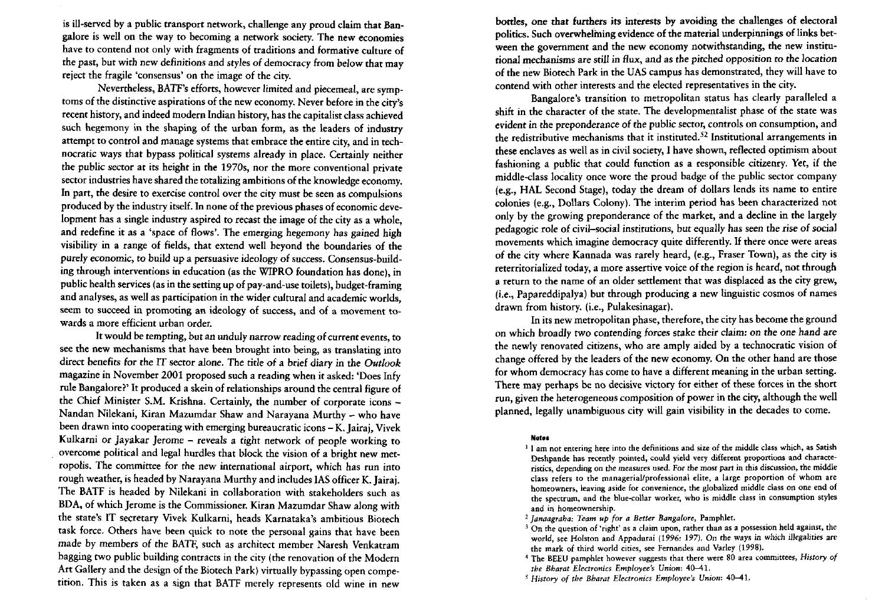is ill-served by a public transport network, challenge any proud claim that Bangalore is well on the way to becoming a network society. The new economies have to contend not only with fragments of traditions and formative culture of the past, but with new definitions and styles of democracy from below that may reject the fragile 'consensus' on the image of the city.

Nevertheless, BATF's efforts, however limited and piecemeal, are symptoms of the distinctive aspirations of the new economy. Never before in the city's recent history, and indeed modern Indian history, has the capitalist class achieved such hegemony in the shaping of the urban form, as the leaders of industry attempt to control and manage systems that embrace the entire city, and in technocratic ways that bypass political systems already in place. Certainly neither the public sector at its height in the 1970s, nor the more conventional private sector industries have shared the totalizing ambitions of the knowledge economy. In part, the desire to exercise control over the city must be seen as compulsions produced by the industry itself. In none of the previous phases of economic development has a single industry aspired to recast the image of the city as a whole, and redefine it as a 'space of flows'. The emerging hegemony has gained high visibility in a range of fields, that extend well beyond the boundaries of the purely economic, *to* build up a persuasive ideology of success. Consensus-building through interventions in education (as the WIPRO foundation has done), in public health services (as in the setting up of pay-and-use toilets), budget-framing and analyses, as well as participation in the wider cultural and academic worlds, seem to succeed in promoting an ideology of success, and of a movement towards a more efficient urban order.

It would be tempting, but an unduly narrow reading of current events, to see the new mechanisms that have been brought into being, as translating into direct benefits for the IT sector alone. The title *of a* brief diary in the *Outlook* magazine in November 2001 proposed such a reading when it asked: 'Does Infy rule Bangalore?' It produced a skein of relationships around the central figure of the Chief Minister S.M. Krishna. Certainly, the number of corporate icons - Nandan Nilekani, Kiran Mazumdar Shaw and Narayana Murthy - who have been drawn into cooperating with emerging bureaucratic icons - K. Jairaj, Vivek Kulkarni or Jayakar Jerome - reveals a tight network of people working to overcome political and legal hurdles that block the vision of a bright new metropolis. The committee for the new international airport, which has run into rough weather, is headed by Narayana Murthy and includes IAS officer K. Jairaj. The BATF is headed by Nilekani in collaboration with stakeholders such as BDA, of which Jerome is the Commissioner. Kiran Mazumdar Shaw along with the state's IT secretary Vivek Kulkarni, heads Karnataka's ambitious Biotech task force. Others have been quick to note the personal gains that have been made by members of the BATF, such as architect member Naresh Venkatram bagging two public building contracts in the city (the renovation of the Modern Art Gallery and the design of the Biotech Park) virtually bypassing open competition. This is taken as a sign that BATF merely represents old wine in new

bottles, one that furthers its interests by avoiding the challenges of electoral politics. Such overwhelming evidence of the material underpinnings of links between the government and the new economy notwithstanding, the new institutional mechanisms are still in flux, and as the pitched opposition *to the location* of the new Biotech Park in the UAS campus has demonstrated, they will have to contend with other interests and the elected representatives in the city.

Bangalore's transition to metropolitan status has clearly paralleled a shift in the character of the state. The developmentalist phase of the state was evident in the preponderance of the public sector, controls on consumption, and the redistributive mechanisms that it instituted.<sup>52</sup> Institutional arrangements in these enclaves as well as in civil society, I have shown, reflected optimism about fashioning a public that could function as a responsible citizenry. Yet, if the middle-class locality once wore the proud badge of the public sector company (e.g., HAL Second Stage), today the dream of dollars lends its name to entire colonies (e.g., Dollars Colony). The interim period has been characterized not only by the growing preponderance of the market, and a decline in the largely pedagogic role of civil-social institutions, but equally has seen the rise of social movements which imagine democracy quite differently. If there once were areas of the city where Kannada was rarely heard, (e.g., Fraser Town), as the city is reterritorialized today, a more assertive voice of the region is heard, not through a return to the name of an older settlement that was displaced as the city grew, (i.e., Papareddipalya) but through producing a new linguistic cosmos of names drawn from history, (i.e., Pulakesinagar).

In its new metropolitan phase, therefore, the city has become the ground on which broadly two contending forces stake their claim: on the one hand *are* the newly renovated citizens, who are amply aided by a technocratic vision of change offered by the leaders of the new economy. On the other hand are those for whom democracy has come to have a different meaning in the urban setting. There may perhaps be no decisive victory for either of these forces in the short run, given the heterogeneous composition of power in the city, although the well planned, legally unambiguous city will gain visibility in the decades to come.

#### **Notes**

- <sup>1</sup> I am not entering here into the definitions and size of the middle class which, as Satish Deshpande has recently pointed, could yield very different proportions and characteristics, depending on the measures used. For the most part in this discussion, the middle class refers to the managerial/professional elite, a large proportion of whom are homeowners, leaving aside for convenience, the globalized middle class on one end of the spectrum, and the blue-collar worker, who is middle class in consumption styles and in homeownership.
- 2  *Janaagraha: Team up for a Better Bangalore,* Pamphlet.
- <sup>3</sup> On the question of 'right' as a claim upon, rather than as a possession held against, the world, see Holston and Appadurai *(1996: 197). On* the ways in which illegalities are the mark of third world cities, see Fernandes and Varley (1998).
- 4 The BEEU pamphlet however suggests that there were 80 area committees, *History of the Bharat Electronics Employee's Union:* 40-41.
- 5  *History of the Bharat Electronics Employee's Union:* 40-41.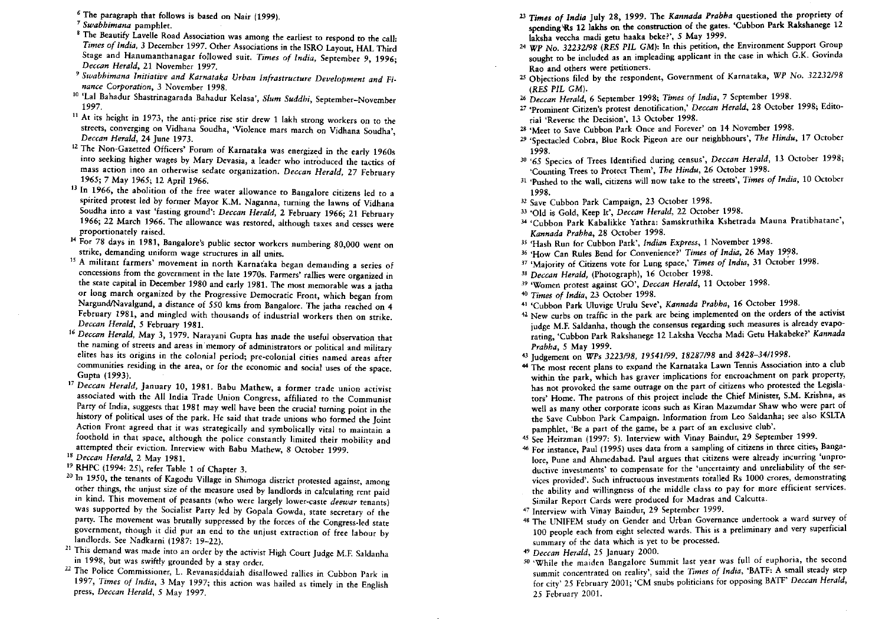- 6  **The paragraph that** follows is based on Nair (1999).
- 7  *Swabhimana* pamphlet.
- 8 The Beautify Lavelle Road Association was among the earliest to respond to **the** call: *Times of India,* 3 December 1997. Other Associations in the ISRO Layout, **HAL** Third Stage and Hanumanthanagar followed suit. *Times of India,* September 9, 1996; *Deccan Herald,* 21 November 1997.
- 9  *Swabhimana Initiative and Karnataka Urban Infrastructure Development and Finance Corporation,* 3 November 1998.
- 10 'Lai Bahadur Shastrinagarada Bahadur Kelasa', *Slum Suddhi,* September-November 1997.
- 11 At its height in 1973, the anti-price rise stir drew 1 lakh strong workers on to the streets, converging on Vidhana Soudha, 'Violence mars march on Vidhana Soudha', *Deccan Herald,* 24 June 1973.
- 12 The Non-Gazetted Officers' Forum of Karnataka was energized in the early 1960s into seeking higher wages by Mary Devasia, a leader who introduced the tactics of mass action into an otherwise sedate organization. *Deccan Herald,* 27 February 1965; 7 May 1965; 12 April 1966.
- 13 In 1966, the abolition of the free water allowance to Bangalore citizens led to a spirited protest led by former Mayor K.M. Naganna, turning the lawns of Vidhana Soudha into a vast 'fasting ground': *Deccan Herald,* 2 February 1966; 21 February 1966; 22 March 1966. The allowance was restored, although taxes and cesses were proportionately raised.
- 14 For 78 days in 1981, Bangalore's public sector workers numbering 80,000 went on strike, demanding uniform wage structures in all units.
- <sup>15</sup> A militant farmers' movement in north Karnataka began demanding a series of concessions from the government in the late 1970s. Farmers' rallies were organized in the state capital in December 1980 and early 1981. The most memorable was a jatha or long march organized by the Progressive Democratic Front, which began from Nargund/Navalgund, a distance of 550 kms from Bangalore. The jatha reached on 4 February 1981, and mingled with thousands of industrial workers then on strike. *Deccan Herald,* 5 February 1981.
- 16  *Deccan Herald,* May 3, 1979. Narayani Gupta has made the useful observation that the naming of streets and areas in memory of administrators or political and military elites has its origins in the colonial period; pre-colonial cities named areas after communities residing in the area, or for the economic and social uses of the space. Gupta (1993).
- <sup>17</sup> Deccan Herald, January 10, 1981. Babu Mathew, a former trade union activist associated with the All India Trade Union Congress, affiliated to the Communist Party of India, suggests that 1981 may well have been the crucial turning point in the history of political uses of the park. He said that trade unions who formed the Joint Action Front agreed that it was strategically and symbolically vital to maintain a foothold in that space, although the police constantly limited their mobility and attempted their eviction. Interview with Babu Mathew, 8 October 1999.
- 18  *Deccan Herald,* 2 May 1981.
- 19 RHPC (1994: 25), refer Table 1 of Chapter 3.
- <sup>20</sup> In 1950, the tenants of Kagodu Village in Shimoga district protested against, among other things, the unjust size of the measure used by landlords in calculating rent paid in kind. This movement of peasants (who were largely lower-caste *deewar* tenants) was supported by the Socialist Party led by Gopala Gowda, state secretary of the party. The movement was brutally suppressed by the forces of the Congress-led state government, though it did put an end to the unjust extraction of free labour by landlords. See Nadkarni (1987: 19-22).
- <sup>21</sup> This demand was made into an order by the activist High Court Judge M.F. Saldanha in 1998, but was swiftly grounded by a stay order.
- <sup>22</sup> The Police Commissioner, L. Revanasiddaiah disallowed rallies in Cubbon Park in 1997, *Times of India,* 3 May 1997; this action was hailed as timely in the English press, *Deccan Herald,* 5 May 1997.
- 23  *Times of India* **July 28 , 1999 . The** *Kannada Prabha* **questioned the propriety** of **spending Rs 12 lakhs on the construction of the gates. 'Cubbon Park Rakshanege** 12 laksha veccha madi getu haaka beke?', 5 May 1999.
- <sup>24</sup> WP No. 32232/98 (RES PIL GM): In this petition, the Environment Support Group sought to be included as an impleading applicant in the case in which G.K. Govinda<br>Rao and others were petitioners.
- Rao and others were petitioners.<br><sup>25</sup> Objections filed by the respondent, Government of Karnataka, *WP No. 32232/98*
- *(RES PIL GM).* 26
- *Deccan Herald,* 6 September 1998; *Times of India, 7* September 1998. 27 'Prominent Citizen's protest denotification,' *Deccan Herald,* 28 October 1998; Edito-
- rial Reverse the Decision', 13 October 1998.
- wheel to save Cubbon Park Once and Forever' on 14 November 1998.<br><sup>29</sup> 'Spectacled Cobra, Blue Rock Pigeon are our neighbhours', *The Hindu*, 17 October
- <sup>30</sup> '65 Species of Trees Identified during census'. Deccan Herald, 13 October 1998; 'Counting Trees to Protect Them', The Hindu, 26 October 1998.
- <sup>31</sup> 'Pushed to the wall, citizens will now take to the streets', Times of India, 10 October 'Pushed to the wall, citizens will now take to the streets', *Times of India,* 10 October
- <sup>32</sup> Save Cubbon Park Campaign, 23 October 1998.
- <sup>33</sup> 'Old is Gold, Keep It', D*eccan Herald*, 22 Octob
- <sup>34</sup> 'Cubbon Park Kabalikke Yathra: Samskruthika Kshetr Kannada Prabha, 28 October 1998.
- <sup>35</sup> 'Hash Run for Cubbon Park', *Indian Express*, 1 November 1998.
- <sup>36</sup> 'How Can Rules Bend for Convenience?' Times of India, 26 May
- <sup>37</sup> 'Majority of Citizens vote for Lung space,' *Times of India*, 31 October
- <sup>38</sup> Deccan Herald, (Photograph), 16 October 1998.
- <sup>39</sup> 'Women protest against GO', Deccan Herald, 11
- <sup>40</sup> Times of India, 23 October 1998.
- <sup>40</sup> Times of India, 23 October 1998.<br><sup>41</sup> 'Cubbon Park Uluvige Urulu Seve', *Kannada Prabha*, 16 Octob
- <sup>42</sup> New curbs on traffic in the park are being implemented on the orders of judge M.F. Saldanha, though the consensus regarding such measures is already evaporating, 'Cubbon Park Rakshanege 12 Laksha Veccha Madi Getu Hakabeke?' Kannada<br>Prabha, 5 May 1999. rating, 'Cubbo n Park Rakshanege 12 Laksha Veccha Mad i Getu Hakabeke? ' *Kannada*
- Judgement on *WPs 322*
- <sup>44</sup> The most recent plans to expand the Karnataka Lawn Tennis Associat within the park, which has graver implications for encroachment on park property, has not provoked the same outrage on the part of citizens who protested the Legislators' Home. The patrons of this project include the Chief Minister, S.M. Krishna, as well as many other corporate icons such as Kiran Mazumdar Shaw who were part of the Save Cubbon Park Campaign. Information from Leo Saldanha; see also KSLTA pamphlet, 'Be a part of the game, be a part of an exclusive club'.
- <sup>45</sup> See Heitzman (1997: 5). Interview with Vinay Baindur, 29 September 1999.
- <sup>46</sup> For instance, Paul (1995) uses data from a sampling of citizens in three cities, lore, Pune and Ahmedabad. Paul argues that citizens were already incurring 'unproductive investments' to compensate for the 'uncertainty and unreliability of the services provided'. Such infructuous investments totalled Rs 1000 crores, demonstrating the ability and willingness of the middle class to pay for more efficient services. Similar Report Cards were produced for Madras and Calcutta.
- <sup>47</sup> Interview with Vinay Baindur, 29 September 1999.
- <sup>48</sup> The UNIFEM study on Gender and Urban Governance 100 people each from eight selected wards. This is a preliminary and very superficial summary of the data which is yet to be processed.
- <sup>49</sup> Deccan Herald, 25 January 2000.
- <sup>50</sup> 'While the maiden Bangalore Su summit concentrated on reality', said the Times of India, 'BATF: A small steady step for city' 25 February 2001; 'CM snubs politicians for opposing BATF' Deccan Herald, 25 February 2001.